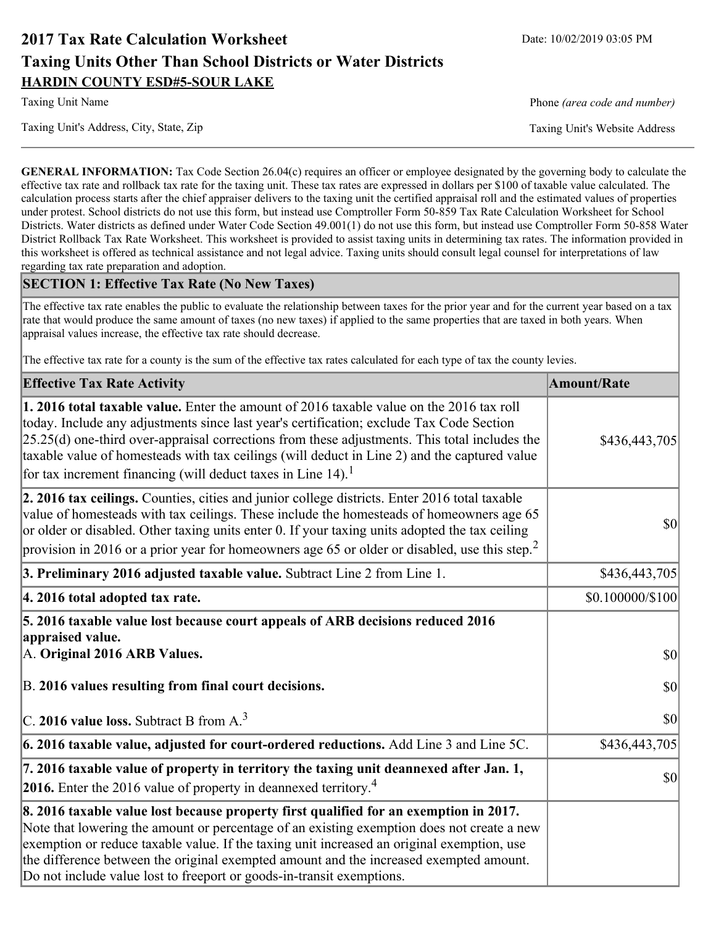# **2017 Tax Rate Calculation Worksheet** Date: 10/02/2019 03:05 PM **Taxing Units Other Than School Districts or Water Districts HARDIN COUNTY ESD#5-SOUR LAKE**

Taxing Unit's Address, City, State, Zip Taxing Unit's Website Address

Taxing Unit Name **Phone** *(area code and number)* Phone *(area code and number)* 

**GENERAL INFORMATION:** Tax Code Section 26.04(c) requires an officer or employee designated by the governing body to calculate the effective tax rate and rollback tax rate for the taxing unit. These tax rates are expressed in dollars per \$100 of taxable value calculated. The calculation process starts after the chief appraiser delivers to the taxing unit the certified appraisal roll and the estimated values of properties under protest. School districts do not use this form, but instead use Comptroller Form 50-859 Tax Rate Calculation Worksheet for School Districts. Water districts as defined under Water Code Section 49.001(1) do not use this form, but instead use Comptroller Form 50-858 Water District Rollback Tax Rate Worksheet. This worksheet is provided to assist taxing units in determining tax rates. The information provided in this worksheet is offered as technical assistance and not legal advice. Taxing units should consult legal counsel for interpretations of law regarding tax rate preparation and adoption.

### **SECTION 1: Effective Tax Rate (No New Taxes)**

The effective tax rate enables the public to evaluate the relationship between taxes for the prior year and for the current year based on a tax rate that would produce the same amount of taxes (no new taxes) if applied to the same properties that are taxed in both years. When appraisal values increase, the effective tax rate should decrease.

The effective tax rate for a county is the sum of the effective tax rates calculated for each type of tax the county levies.

| <b>Effective Tax Rate Activity</b>                                                                                                                                                                                                                                                                                                                                                                                                                             | <b>Amount/Rate</b> |
|----------------------------------------------------------------------------------------------------------------------------------------------------------------------------------------------------------------------------------------------------------------------------------------------------------------------------------------------------------------------------------------------------------------------------------------------------------------|--------------------|
| <b>1. 2016 total taxable value.</b> Enter the amount of 2016 taxable value on the 2016 tax roll<br>today. Include any adjustments since last year's certification; exclude Tax Code Section<br>$[25.25(d)$ one-third over-appraisal corrections from these adjustments. This total includes the<br>taxable value of homesteads with tax ceilings (will deduct in Line 2) and the captured value<br>for tax increment financing (will deduct taxes in Line 14). | \$436,443,705      |
| 2. 2016 tax ceilings. Counties, cities and junior college districts. Enter 2016 total taxable<br>value of homesteads with tax ceilings. These include the homesteads of homeowners age 65<br>or older or disabled. Other taxing units enter 0. If your taxing units adopted the tax ceiling<br>provision in 2016 or a prior year for homeowners age 65 or older or disabled, use this step. <sup>2</sup>                                                       | 30                 |
| 3. Preliminary 2016 adjusted taxable value. Subtract Line 2 from Line 1.                                                                                                                                                                                                                                                                                                                                                                                       | \$436,443,705      |
| 4. 2016 total adopted tax rate.                                                                                                                                                                                                                                                                                                                                                                                                                                | \$0.100000/\$100   |
| 5. 2016 taxable value lost because court appeals of ARB decisions reduced 2016<br>appraised value.<br>A. Original 2016 ARB Values.                                                                                                                                                                                                                                                                                                                             | $ 10\rangle$       |
| B. 2016 values resulting from final court decisions.                                                                                                                                                                                                                                                                                                                                                                                                           | 30                 |
| C. 2016 value loss. Subtract B from $A3$                                                                                                                                                                                                                                                                                                                                                                                                                       | 30                 |
| 6. 2016 taxable value, adjusted for court-ordered reductions. Add Line 3 and Line 5C.                                                                                                                                                                                                                                                                                                                                                                          | \$436,443,705      |
| 7. 2016 taxable value of property in territory the taxing unit deannexed after Jan. 1,<br><b>2016.</b> Enter the 2016 value of property in deannexed territory. <sup>4</sup>                                                                                                                                                                                                                                                                                   | $ 10\rangle$       |
| 8. 2016 taxable value lost because property first qualified for an exemption in 2017.<br>Note that lowering the amount or percentage of an existing exemption does not create a new<br>exemption or reduce taxable value. If the taxing unit increased an original exemption, use<br>the difference between the original exempted amount and the increased exempted amount.<br>Do not include value lost to freeport or goods-in-transit exemptions.           |                    |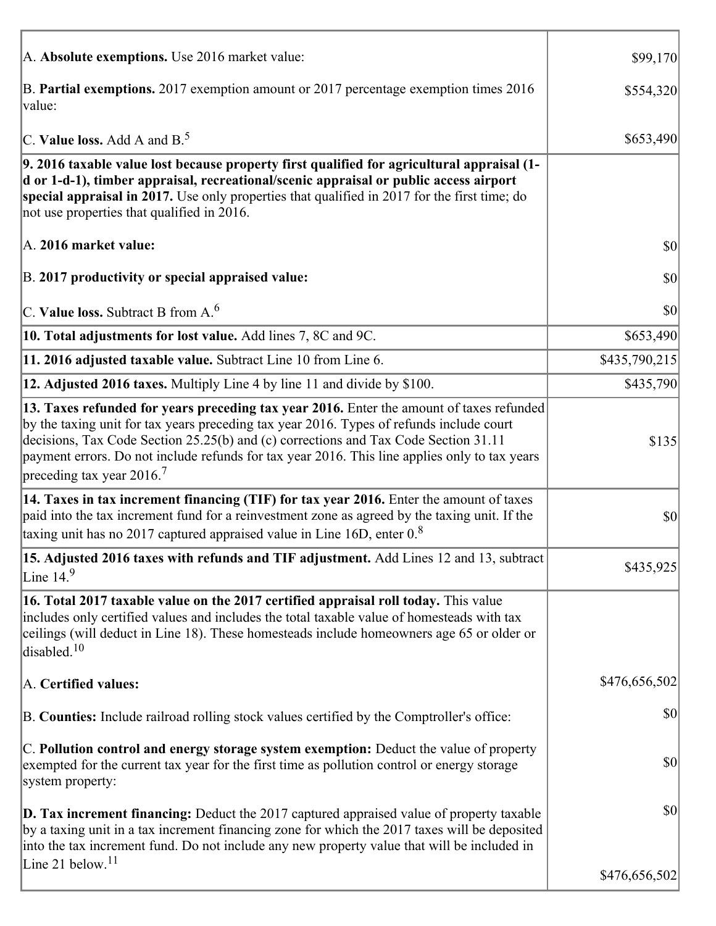| A. Absolute exemptions. Use 2016 market value:                                                                                                                                                                                                                                                                                                                                                                         | \$99,170      |
|------------------------------------------------------------------------------------------------------------------------------------------------------------------------------------------------------------------------------------------------------------------------------------------------------------------------------------------------------------------------------------------------------------------------|---------------|
| B. Partial exemptions. 2017 exemption amount or 2017 percentage exemption times 2016<br>value:                                                                                                                                                                                                                                                                                                                         | \$554,320     |
| C. Value loss. Add A and $B^5$                                                                                                                                                                                                                                                                                                                                                                                         | \$653,490     |
| 9. 2016 taxable value lost because property first qualified for agricultural appraisal (1-<br>d or 1-d-1), timber appraisal, recreational/scenic appraisal or public access airport<br>special appraisal in 2017. Use only properties that qualified in 2017 for the first time; do<br>not use properties that qualified in 2016.                                                                                      |               |
| A. 2016 market value:                                                                                                                                                                                                                                                                                                                                                                                                  | $ 10\rangle$  |
| B. 2017 productivity or special appraised value:                                                                                                                                                                                                                                                                                                                                                                       | \$0           |
| $\vert$ C. Value loss. Subtract B from A. $^6$                                                                                                                                                                                                                                                                                                                                                                         | \$0           |
| 10. Total adjustments for lost value. Add lines 7, 8C and 9C.                                                                                                                                                                                                                                                                                                                                                          | \$653,490     |
| 11. 2016 adjusted taxable value. Subtract Line 10 from Line 6.                                                                                                                                                                                                                                                                                                                                                         | \$435,790,215 |
| 12. Adjusted 2016 taxes. Multiply Line 4 by line 11 and divide by \$100.                                                                                                                                                                                                                                                                                                                                               | \$435,790     |
| 13. Taxes refunded for years preceding tax year 2016. Enter the amount of taxes refunded<br>by the taxing unit for tax years preceding tax year 2016. Types of refunds include court<br>decisions, Tax Code Section 25.25(b) and (c) corrections and Tax Code Section 31.11<br>payment errors. Do not include refunds for tax year 2016. This line applies only to tax years<br>preceding tax year $2016$ <sup>7</sup> | \$135         |
| 14. Taxes in tax increment financing (TIF) for tax year 2016. Enter the amount of taxes<br>paid into the tax increment fund for a reinvestment zone as agreed by the taxing unit. If the<br>taxing unit has no 2017 captured appraised value in Line 16D, enter $0.8$                                                                                                                                                  | \$0           |
| 15. Adjusted 2016 taxes with refunds and TIF adjustment. Add Lines 12 and 13, subtract<br>Line $14.9$                                                                                                                                                                                                                                                                                                                  | \$435,925     |
| 16. Total 2017 taxable value on the 2017 certified appraisal roll today. This value<br>includes only certified values and includes the total taxable value of homesteads with tax<br>ceilings (will deduct in Line 18). These homesteads include homeowners age 65 or older or<br>disabled. $10$                                                                                                                       |               |
| A. Certified values:                                                                                                                                                                                                                                                                                                                                                                                                   | \$476,656,502 |
| B. Counties: Include railroad rolling stock values certified by the Comptroller's office:                                                                                                                                                                                                                                                                                                                              | \$0           |
| C. Pollution control and energy storage system exemption: Deduct the value of property<br>exempted for the current tax year for the first time as pollution control or energy storage<br>system property:                                                                                                                                                                                                              | \$0           |
| <b>D. Tax increment financing:</b> Deduct the 2017 captured appraised value of property taxable<br>by a taxing unit in a tax increment financing zone for which the 2017 taxes will be deposited<br>into the tax increment fund. Do not include any new property value that will be included in<br>Line 21 below. <sup>11</sup>                                                                                        | \$0           |
|                                                                                                                                                                                                                                                                                                                                                                                                                        | \$476,656,502 |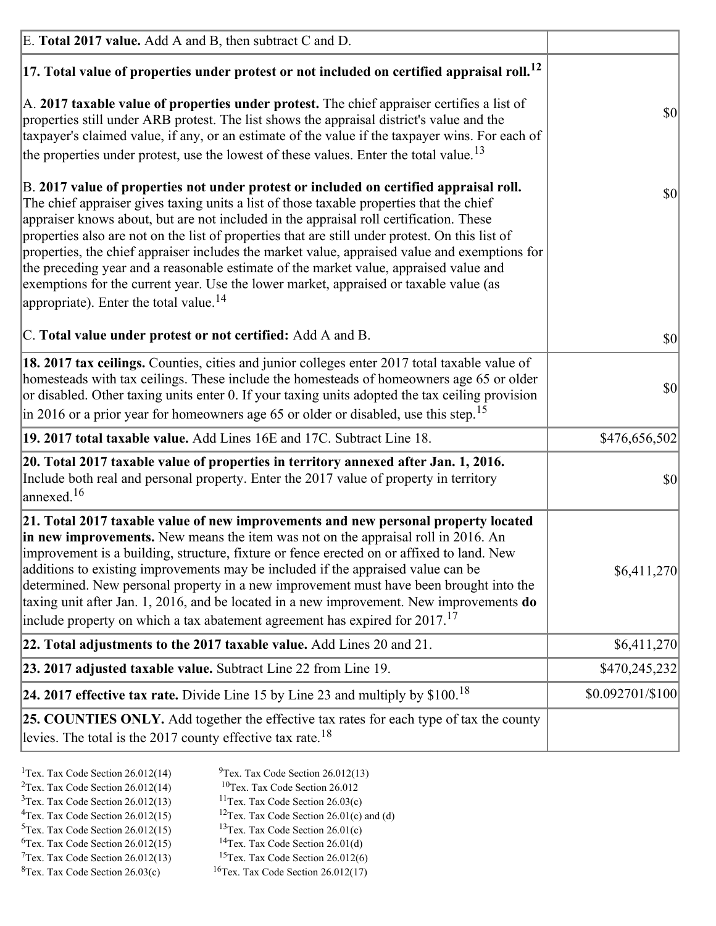| E. Total 2017 value. Add A and B, then subtract C and D.                                                                                                                                                                                                                                                                                                                                                                                                                                                                                                                                                                                                                                                                 |                  |
|--------------------------------------------------------------------------------------------------------------------------------------------------------------------------------------------------------------------------------------------------------------------------------------------------------------------------------------------------------------------------------------------------------------------------------------------------------------------------------------------------------------------------------------------------------------------------------------------------------------------------------------------------------------------------------------------------------------------------|------------------|
| $ 17$ . Total value of properties under protest or not included on certified appraisal roll. <sup>12</sup>                                                                                                                                                                                                                                                                                                                                                                                                                                                                                                                                                                                                               |                  |
| A. 2017 taxable value of properties under protest. The chief appraiser certifies a list of<br>properties still under ARB protest. The list shows the appraisal district's value and the<br>taxpayer's claimed value, if any, or an estimate of the value if the taxpayer wins. For each of<br>the properties under protest, use the lowest of these values. Enter the total value. <sup>13</sup>                                                                                                                                                                                                                                                                                                                         | \$0              |
| B. 2017 value of properties not under protest or included on certified appraisal roll.<br>The chief appraiser gives taxing units a list of those taxable properties that the chief<br>appraiser knows about, but are not included in the appraisal roll certification. These<br>properties also are not on the list of properties that are still under protest. On this list of<br>properties, the chief appraiser includes the market value, appraised value and exemptions for<br>the preceding year and a reasonable estimate of the market value, appraised value and<br>exemptions for the current year. Use the lower market, appraised or taxable value (as<br>appropriate). Enter the total value. <sup>14</sup> | <b>\$0</b>       |
| C. Total value under protest or not certified: Add A and B.                                                                                                                                                                                                                                                                                                                                                                                                                                                                                                                                                                                                                                                              | $ 10\rangle$     |
| 18. 2017 tax ceilings. Counties, cities and junior colleges enter 2017 total taxable value of<br>homesteads with tax ceilings. These include the homesteads of homeowners age 65 or older<br>or disabled. Other taxing units enter 0. If your taxing units adopted the tax ceiling provision<br>$\vert$ in 2016 or a prior year for homeowners age 65 or older or disabled, use this step. <sup>15</sup>                                                                                                                                                                                                                                                                                                                 | \$0              |
| 19. 2017 total taxable value. Add Lines 16E and 17C. Subtract Line 18.                                                                                                                                                                                                                                                                                                                                                                                                                                                                                                                                                                                                                                                   | \$476,656,502    |
| 20. Total 2017 taxable value of properties in territory annexed after Jan. 1, 2016.<br>Include both real and personal property. Enter the 2017 value of property in territory<br>$\vert$ annexed. <sup>16</sup>                                                                                                                                                                                                                                                                                                                                                                                                                                                                                                          | $ 10\rangle$     |
| 21. Total 2017 taxable value of new improvements and new personal property located<br>in new improvements. New means the item was not on the appraisal roll in 2016. An<br>improvement is a building, structure, fixture or fence erected on or affixed to land. New<br>additions to existing improvements may be included if the appraised value can be<br>determined. New personal property in a new improvement must have been brought into the<br>taxing unit after Jan. 1, 2016, and be located in a new improvement. New improvements do<br>include property on which a tax abatement agreement has expired for $2017$ . <sup>17</sup>                                                                             | \$6,411,270      |
| 22. Total adjustments to the 2017 taxable value. Add Lines 20 and 21.                                                                                                                                                                                                                                                                                                                                                                                                                                                                                                                                                                                                                                                    | \$6,411,270      |
| 23. 2017 adjusted taxable value. Subtract Line 22 from Line 19.                                                                                                                                                                                                                                                                                                                                                                                                                                                                                                                                                                                                                                                          | \$470,245,232    |
| 24. 2017 effective tax rate. Divide Line 15 by Line 23 and multiply by $$100$ . <sup>18</sup>                                                                                                                                                                                                                                                                                                                                                                                                                                                                                                                                                                                                                            | \$0.092701/\$100 |
| 25. COUNTIES ONLY. Add together the effective tax rates for each type of tax the county<br>levies. The total is the 2017 county effective tax rate. <sup>18</sup>                                                                                                                                                                                                                                                                                                                                                                                                                                                                                                                                                        |                  |

- <sup>2</sup>Tex. Tax Code Section 26.012(14)
- <sup>1</sup>Tex. Tax Code Section 26.012(14) <sup>9</sup>Tex. Tax Code Section 26.012(13) <sup>9</sup>Tex. Tax Code Section 26.012
	-
- <sup>3</sup>Tex. Tax Code Section 26.012(13) <sup>11</sup>Tex. Tax Code Section 26.03(c) <sup>4</sup>Tex. Tax Code Section 26.01(c) and <sup>12</sup>Tex. Tax Code Section 26.01(c) and <sup>12</sup>Tex. Tax Code Section 26.01(c) and <sup>12</sup>Tex. Tax Code Section 26.01(c)
	- <sup>12</sup>Tex. Tax Code Section 26.01(c) and (d)
- 
- <sup>5</sup>Tex. Tax Code Section 26.012(15) <sup>13</sup>Tex. Tax Code Section 26.01(c) <sup>6</sup>Tex. Tax Code Section 26.01(d) <sup>6</sup>Tex. Tax Code Section 26.012(15) <sup>14</sup>Tex. Tax Code Section 26.01(d)<sup>7</sup>Tex. Tax Code Section 26.012(6)
- $7$ Tex. Tax Code Section 26.012(13)
- 
- 
- ${}^{8}$ Tex. Tax Code Section 26.03(c)  ${}^{16}$ Tex. Tax Code Section 26.012(17)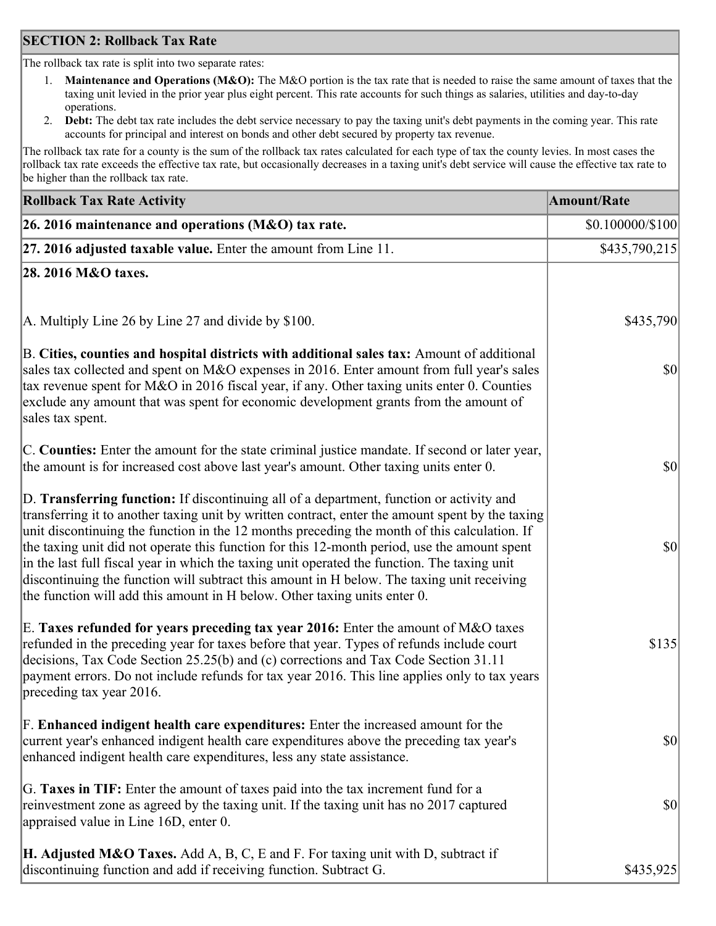### **SECTION 2: Rollback Tax Rate**

The rollback tax rate is split into two separate rates:

- 1. **Maintenance and Operations (M&O):** The M&O portion is the tax rate that is needed to raise the same amount of taxes that the taxing unit levied in the prior year plus eight percent. This rate accounts for such things as salaries, utilities and day-to-day operations.
- 2. **Debt:** The debt tax rate includes the debt service necessary to pay the taxing unit's debt payments in the coming year. This rate accounts for principal and interest on bonds and other debt secured by property tax revenue.

The rollback tax rate for a county is the sum of the rollback tax rates calculated for each type of tax the county levies. In most cases the rollback tax rate exceeds the effective tax rate, but occasionally decreases in a taxing unit's debt service will cause the effective tax rate to be higher than the rollback tax rate.

| <b>Rollback Tax Rate Activity</b>                                                                                                                                                                                                                                                                                                                                                                                                                                                                                                                                                                                                                                       | <b>Amount/Rate</b>     |
|-------------------------------------------------------------------------------------------------------------------------------------------------------------------------------------------------------------------------------------------------------------------------------------------------------------------------------------------------------------------------------------------------------------------------------------------------------------------------------------------------------------------------------------------------------------------------------------------------------------------------------------------------------------------------|------------------------|
| 26. 2016 maintenance and operations (M&O) tax rate.                                                                                                                                                                                                                                                                                                                                                                                                                                                                                                                                                                                                                     | $$0.100000 \times 100$ |
| $ 27.2016$ adjusted taxable value. Enter the amount from Line 11.                                                                                                                                                                                                                                                                                                                                                                                                                                                                                                                                                                                                       | \$435,790,215          |
| 28. 2016 M&O taxes.                                                                                                                                                                                                                                                                                                                                                                                                                                                                                                                                                                                                                                                     |                        |
|                                                                                                                                                                                                                                                                                                                                                                                                                                                                                                                                                                                                                                                                         |                        |
| A. Multiply Line 26 by Line 27 and divide by \$100.                                                                                                                                                                                                                                                                                                                                                                                                                                                                                                                                                                                                                     | \$435,790              |
| B. Cities, counties and hospital districts with additional sales tax: Amount of additional<br>sales tax collected and spent on M&O expenses in 2016. Enter amount from full year's sales<br>tax revenue spent for M&O in 2016 fiscal year, if any. Other taxing units enter 0. Counties<br>exclude any amount that was spent for economic development grants from the amount of<br>sales tax spent.                                                                                                                                                                                                                                                                     | $ 10\rangle$           |
| C. Counties: Enter the amount for the state criminal justice mandate. If second or later year,<br>the amount is for increased cost above last year's amount. Other taxing units enter 0.                                                                                                                                                                                                                                                                                                                                                                                                                                                                                | \$0                    |
| D. Transferring function: If discontinuing all of a department, function or activity and<br>transferring it to another taxing unit by written contract, enter the amount spent by the taxing<br>unit discontinuing the function in the 12 months preceding the month of this calculation. If<br>the taxing unit did not operate this function for this 12-month period, use the amount spent<br>in the last full fiscal year in which the taxing unit operated the function. The taxing unit<br>discontinuing the function will subtract this amount in H below. The taxing unit receiving<br>the function will add this amount in H below. Other taxing units enter 0. | \$0                    |
| E. Taxes refunded for years preceding tax year 2016: Enter the amount of M&O taxes<br>refunded in the preceding year for taxes before that year. Types of refunds include court<br>decisions, Tax Code Section 25.25(b) and (c) corrections and Tax Code Section 31.11<br>payment errors. Do not include refunds for tax year 2016. This line applies only to tax years<br>preceding tax year 2016.                                                                                                                                                                                                                                                                     | \$135                  |
| F. Enhanced indigent health care expenditures: Enter the increased amount for the<br>current year's enhanced indigent health care expenditures above the preceding tax year's<br>enhanced indigent health care expenditures, less any state assistance.                                                                                                                                                                                                                                                                                                                                                                                                                 | $ 10\rangle$           |
| G. Taxes in TIF: Enter the amount of taxes paid into the tax increment fund for a<br>reinvestment zone as agreed by the taxing unit. If the taxing unit has no 2017 captured<br>appraised value in Line 16D, enter 0.                                                                                                                                                                                                                                                                                                                                                                                                                                                   | $ 10\rangle$           |
| <b>H. Adjusted M&amp;O Taxes.</b> Add A, B, C, E and F. For taxing unit with D, subtract if<br>discontinuing function and add if receiving function. Subtract G.                                                                                                                                                                                                                                                                                                                                                                                                                                                                                                        | \$435,925              |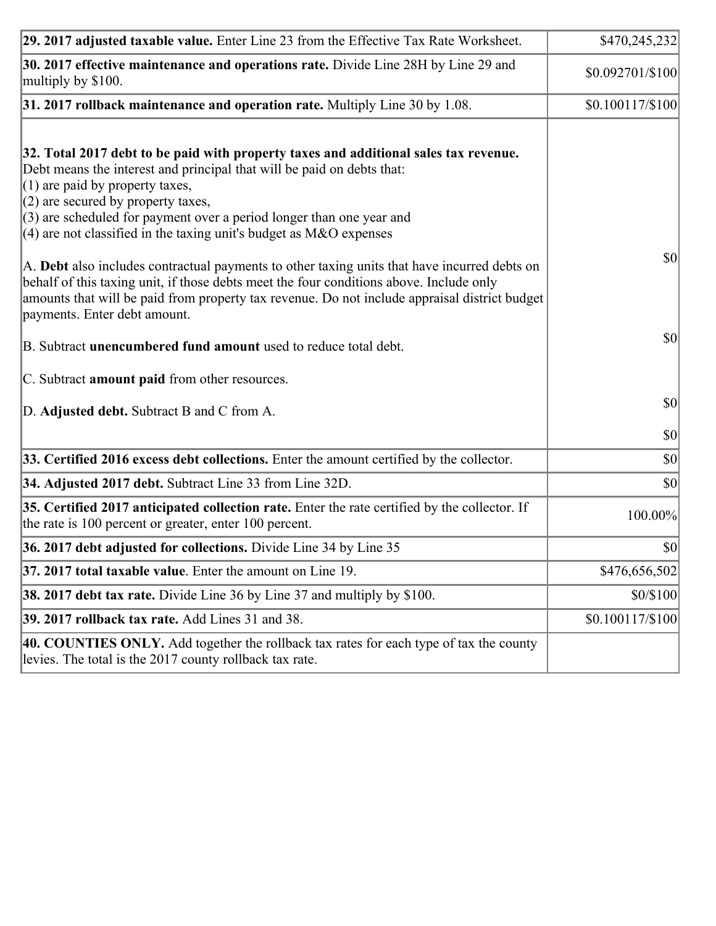| 29. 2017 adjusted taxable value. Enter Line 23 from the Effective Tax Rate Worksheet.                                                                                                                                                                                                                                                                                                                                                                                                                                                                                                                                                                                                                                     | \$470,245,232    |
|---------------------------------------------------------------------------------------------------------------------------------------------------------------------------------------------------------------------------------------------------------------------------------------------------------------------------------------------------------------------------------------------------------------------------------------------------------------------------------------------------------------------------------------------------------------------------------------------------------------------------------------------------------------------------------------------------------------------------|------------------|
| 30. 2017 effective maintenance and operations rate. Divide Line 28H by Line 29 and<br>multiply by \$100.                                                                                                                                                                                                                                                                                                                                                                                                                                                                                                                                                                                                                  | \$0.092701/\$100 |
| $31.2017$ rollback maintenance and operation rate. Multiply Line 30 by 1.08.                                                                                                                                                                                                                                                                                                                                                                                                                                                                                                                                                                                                                                              | $$0.100117/$100$ |
| 32. Total 2017 debt to be paid with property taxes and additional sales tax revenue.<br>Debt means the interest and principal that will be paid on debts that:<br>$(1)$ are paid by property taxes,<br>$(2)$ are secured by property taxes,<br>$(3)$ are scheduled for payment over a period longer than one year and<br>(4) are not classified in the taxing unit's budget as $M&O$ expenses<br>A. Debt also includes contractual payments to other taxing units that have incurred debts on<br>behalf of this taxing unit, if those debts meet the four conditions above. Include only<br>amounts that will be paid from property tax revenue. Do not include appraisal district budget<br>payments. Enter debt amount. | 30               |
| B. Subtract unencumbered fund amount used to reduce total debt.                                                                                                                                                                                                                                                                                                                                                                                                                                                                                                                                                                                                                                                           | \$0              |
| C. Subtract amount paid from other resources.                                                                                                                                                                                                                                                                                                                                                                                                                                                                                                                                                                                                                                                                             |                  |
| D. Adjusted debt. Subtract B and C from A.                                                                                                                                                                                                                                                                                                                                                                                                                                                                                                                                                                                                                                                                                | $ 10\rangle$     |
|                                                                                                                                                                                                                                                                                                                                                                                                                                                                                                                                                                                                                                                                                                                           | $ 10\rangle$     |
| 33. Certified 2016 excess debt collections. Enter the amount certified by the collector.                                                                                                                                                                                                                                                                                                                                                                                                                                                                                                                                                                                                                                  | $ 10\rangle$     |
| 34. Adjusted 2017 debt. Subtract Line 33 from Line 32D.                                                                                                                                                                                                                                                                                                                                                                                                                                                                                                                                                                                                                                                                   | \$0              |
| 35. Certified 2017 anticipated collection rate. Enter the rate certified by the collector. If<br>the rate is 100 percent or greater, enter 100 percent.                                                                                                                                                                                                                                                                                                                                                                                                                                                                                                                                                                   | 100.00%          |
| 36. 2017 debt adjusted for collections. Divide Line 34 by Line 35                                                                                                                                                                                                                                                                                                                                                                                                                                                                                                                                                                                                                                                         | \$0              |
| 37. 2017 total taxable value. Enter the amount on Line 19.                                                                                                                                                                                                                                                                                                                                                                                                                                                                                                                                                                                                                                                                | \$476,656,502    |
| <b>38. 2017 debt tax rate.</b> Divide Line 36 by Line 37 and multiply by \$100.                                                                                                                                                                                                                                                                                                                                                                                                                                                                                                                                                                                                                                           | \$0/\$100        |
| 39. 2017 rollback tax rate. Add Lines 31 and 38.                                                                                                                                                                                                                                                                                                                                                                                                                                                                                                                                                                                                                                                                          | \$0.100117/\$100 |
| 40. COUNTIES ONLY. Add together the rollback tax rates for each type of tax the county<br>levies. The total is the 2017 county rollback tax rate.                                                                                                                                                                                                                                                                                                                                                                                                                                                                                                                                                                         |                  |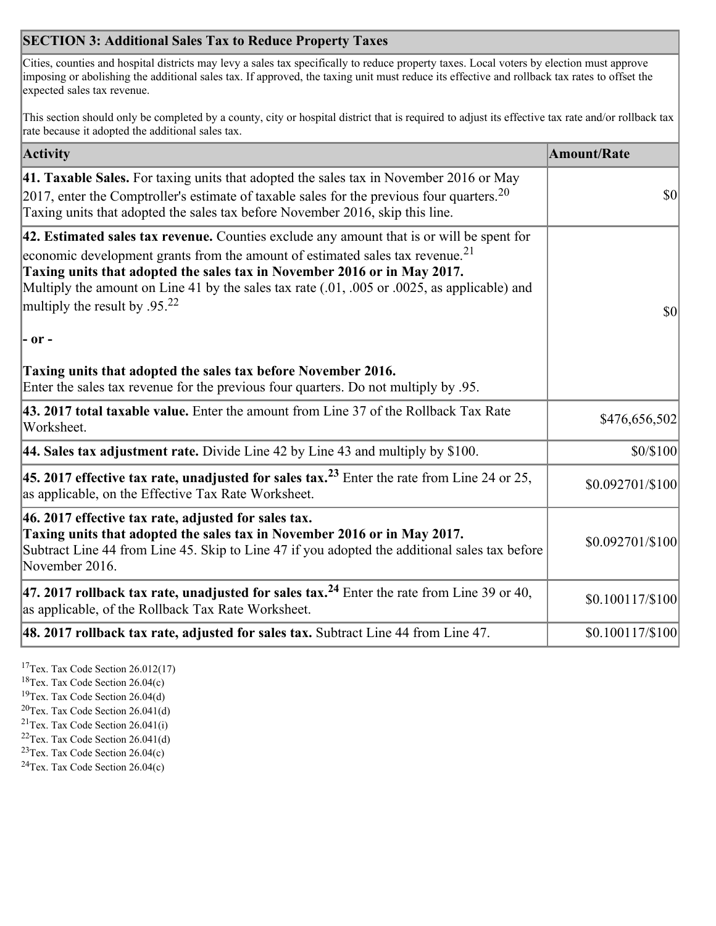## **SECTION 3: Additional Sales Tax to Reduce Property Taxes**

Cities, counties and hospital districts may levy a sales tax specifically to reduce property taxes. Local voters by election must approve imposing or abolishing the additional sales tax. If approved, the taxing unit must reduce its effective and rollback tax rates to offset the expected sales tax revenue.

This section should only be completed by a county, city or hospital district that is required to adjust its effective tax rate and/or rollback tax rate because it adopted the additional sales tax.

| <b>Activity</b>                                                                                                                                                                                                                                                                                                                                                                                                 | <b>Amount/Rate</b> |
|-----------------------------------------------------------------------------------------------------------------------------------------------------------------------------------------------------------------------------------------------------------------------------------------------------------------------------------------------------------------------------------------------------------------|--------------------|
| 41. Taxable Sales. For taxing units that adopted the sales tax in November 2016 or May<br>[2017, enter the Comptroller's estimate of taxable sales for the previous four quarters. <sup>20</sup><br>Taxing units that adopted the sales tax before November 2016, skip this line.                                                                                                                               | <b>\$0</b>         |
| 42. Estimated sales tax revenue. Counties exclude any amount that is or will be spent for<br>economic development grants from the amount of estimated sales tax revenue. <sup>21</sup><br>Taxing units that adopted the sales tax in November 2016 or in May 2017.<br>Multiply the amount on Line 41 by the sales tax rate (.01, .005 or .0025, as applicable) and<br>multiply the result by .95. <sup>22</sup> | \$0                |
| - or -                                                                                                                                                                                                                                                                                                                                                                                                          |                    |
| Taxing units that adopted the sales tax before November 2016.<br>Enter the sales tax revenue for the previous four quarters. Do not multiply by .95.                                                                                                                                                                                                                                                            |                    |
| 43. 2017 total taxable value. Enter the amount from Line 37 of the Rollback Tax Rate<br>Worksheet.                                                                                                                                                                                                                                                                                                              | \$476,656,502      |
| 44. Sales tax adjustment rate. Divide Line 42 by Line 43 and multiply by \$100.                                                                                                                                                                                                                                                                                                                                 | \$0/\$100          |
| 45. 2017 effective tax rate, unadjusted for sales tax. <sup>23</sup> Enter the rate from Line 24 or 25,<br>as applicable, on the Effective Tax Rate Worksheet.                                                                                                                                                                                                                                                  | \$0.092701/\$100   |
| 46. 2017 effective tax rate, adjusted for sales tax.<br>Taxing units that adopted the sales tax in November 2016 or in May 2017.<br>Subtract Line 44 from Line 45. Skip to Line 47 if you adopted the additional sales tax before<br>November 2016.                                                                                                                                                             | \$0.092701/\$100   |
| 47. 2017 rollback tax rate, unadjusted for sales tax. <sup>24</sup> Enter the rate from Line 39 or 40,<br>as applicable, of the Rollback Tax Rate Worksheet.                                                                                                                                                                                                                                                    | \$0.100117/\$100   |
| $ 48.2017$ rollback tax rate, adjusted for sales tax. Subtract Line 44 from Line 47.                                                                                                                                                                                                                                                                                                                            | $$0.100117/$100$   |

<sup>17</sup>Tex. Tax Code Section 26.012(17)

<sup>18</sup>Tex. Tax Code Section 26.04(c)

<sup>19</sup>Tex. Tax Code Section 26.04(d)

<sup>20</sup>Tex. Tax Code Section 26.041(d)

- $21$ Tex. Tax Code Section 26.041(i)
- <sup>22</sup>Tex. Tax Code Section 26.041(d)
- <sup>23</sup>Tex. Tax Code Section  $26.04(c)$

<sup>24</sup>Tex. Tax Code Section  $26.04(c)$